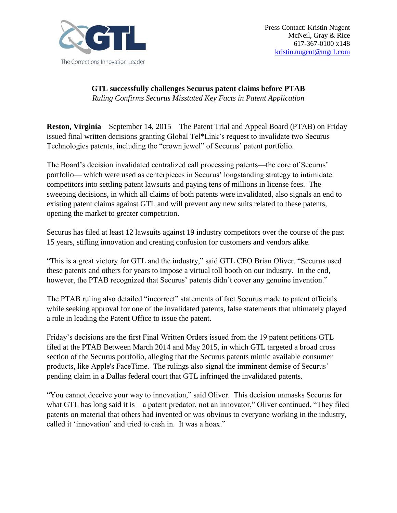

## **GTL successfully challenges Securus patent claims before PTAB**  *Ruling Confirms Securus Misstated Key Facts in Patent Application*

**Reston, Virginia** – September 14, 2015 – The Patent Trial and Appeal Board (PTAB) on Friday issued final written decisions granting Global Tel\*Link's request to invalidate two Securus Technologies patents, including the "crown jewel" of Securus' patent portfolio.

The Board's decision invalidated centralized call processing patents—the core of Securus' portfolio— which were used as centerpieces in Securus' longstanding strategy to intimidate competitors into settling patent lawsuits and paying tens of millions in license fees. The sweeping decisions, in which all claims of both patents were invalidated, also signals an end to existing patent claims against GTL and will prevent any new suits related to these patents, opening the market to greater competition.

Securus has filed at least 12 lawsuits against 19 industry competitors over the course of the past 15 years, stifling innovation and creating confusion for customers and vendors alike.

"This is a great victory for GTL and the industry," said GTL CEO Brian Oliver. "Securus used these patents and others for years to impose a virtual toll booth on our industry. In the end, however, the PTAB recognized that Securus' patents didn't cover any genuine invention."

The PTAB ruling also detailed "incorrect" statements of fact Securus made to patent officials while seeking approval for one of the invalidated patents, false statements that ultimately played a role in leading the Patent Office to issue the patent.

Friday's decisions are the first Final Written Orders issued from the 19 patent petitions GTL filed at the PTAB Between March 2014 and May 2015, in which GTL targeted a broad cross section of the Securus portfolio, alleging that the Securus patents mimic available consumer products, like Apple's FaceTime. The rulings also signal the imminent demise of Securus' pending claim in a Dallas federal court that GTL infringed the invalidated patents.

"You cannot deceive your way to innovation," said Oliver. This decision unmasks Securus for what GTL has long said it is—a patent predator, not an innovator," Oliver continued. "They filed patents on material that others had invented or was obvious to everyone working in the industry, called it 'innovation' and tried to cash in. It was a hoax."